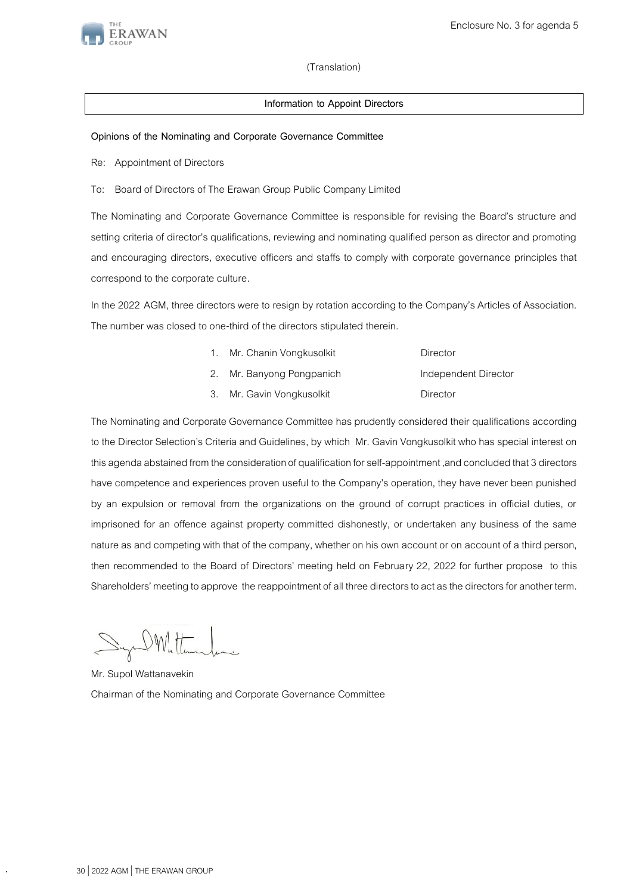

## (Translation)

## **Information to Appoint Directors**

## **Opinions of the Nominating and Corporate Governance Committee**

Re: Appointment of Directors

To: Board of Directors of The Erawan Group Public Company Limited

The Nominating and Corporate Governance Committee is responsible for revising the Board's structure and setting criteria of director's qualifications, reviewing and nominating qualified person as director and promoting and encouraging directors, executive officers and staffs to comply with corporate governance principles that correspond to the corporate culture.

In the 2022 AGM, three directors were to resign by rotation according to the Company's Articles of Association. The number was closed to one-third of the directors stipulated therein.

| 1. Mr. Chanin Vongkusolkit | Director             |
|----------------------------|----------------------|
| 2. Mr. Banyong Pongpanich  | Independent Director |
| 3. Mr. Gavin Vongkusolkit  | Director             |

The Nominating and Corporate Governance Committee has prudently considered their qualifications according to the Director Selection's Criteria and Guidelines, by which Mr. Gavin Vongkusolkit who has special interest on this agenda abstained from the consideration of qualification for self-appointment ,and concluded that 3 directors have competence and experiences proven useful to the Company's operation, they have never been punished by an expulsion or removal from the organizations on the ground of corrupt practices in official duties, or imprisoned for an offence against property committed dishonestly, or undertaken any business of the same nature as and competing with that of the company, whether on his own account or on account of a third person, then recommended to the Board of Directors' meeting held on February 22, 2022 for further propose to this Shareholders'meeting to approve the reappointment of all three directors to act as the directors for another term.

Syn Mattender

Mr. Supol Wattanavekin Chairman of the Nominating and Corporate Governance Committee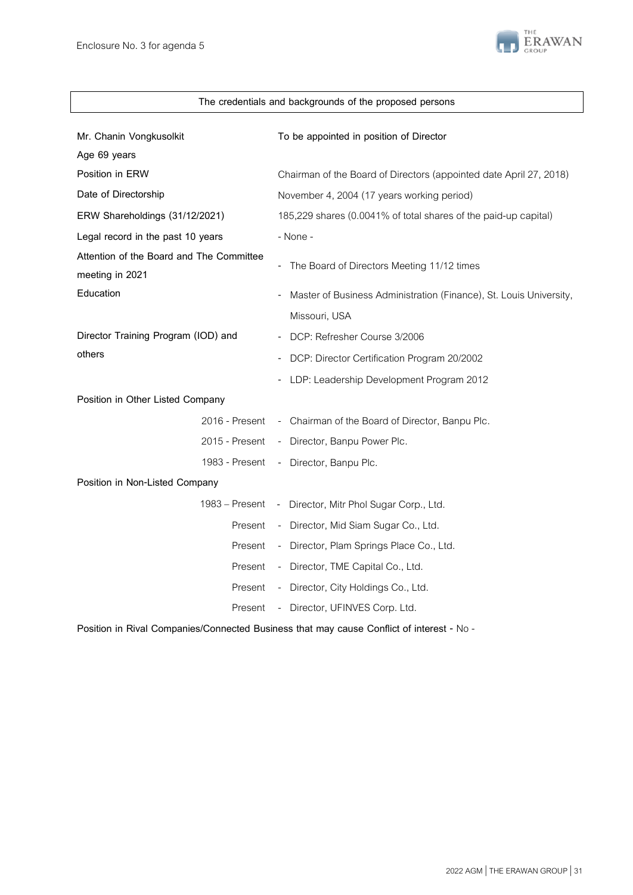

| The credentials and backgrounds of the proposed persons     |                                                                    |  |  |  |  |
|-------------------------------------------------------------|--------------------------------------------------------------------|--|--|--|--|
| Mr. Chanin Vongkusolkit<br>Age 69 years                     | To be appointed in position of Director                            |  |  |  |  |
| Position in ERW                                             | Chairman of the Board of Directors (appointed date April 27, 2018) |  |  |  |  |
| Date of Directorship                                        | November 4, 2004 (17 years working period)                         |  |  |  |  |
| ERW Shareholdings (31/12/2021)                              | 185,229 shares (0.0041% of total shares of the paid-up capital)    |  |  |  |  |
| Legal record in the past 10 years                           | - None -                                                           |  |  |  |  |
| Attention of the Board and The Committee<br>meeting in 2021 | - The Board of Directors Meeting 11/12 times                       |  |  |  |  |
| Education                                                   | Master of Business Administration (Finance), St. Louis University, |  |  |  |  |
|                                                             | Missouri, USA                                                      |  |  |  |  |
| Director Training Program (IOD) and                         | DCP: Refresher Course 3/2006                                       |  |  |  |  |
| others                                                      | DCP: Director Certification Program 20/2002                        |  |  |  |  |
|                                                             | LDP: Leadership Development Program 2012                           |  |  |  |  |
| Position in Other Listed Company                            |                                                                    |  |  |  |  |
| 2016 - Present                                              | - Chairman of the Board of Director, Banpu Plc.                    |  |  |  |  |
| 2015 - Present                                              | - Director, Banpu Power Plc.                                       |  |  |  |  |
| 1983 - Present                                              | - Director, Banpu Plc.                                             |  |  |  |  |
| Position in Non-Listed Company                              |                                                                    |  |  |  |  |
| 1983 – Present                                              | - Director, Mitr Phol Sugar Corp., Ltd.                            |  |  |  |  |
| Present                                                     | - Director, Mid Siam Sugar Co., Ltd.                               |  |  |  |  |
| Present                                                     | - Director, Plam Springs Place Co., Ltd.                           |  |  |  |  |
| Present                                                     | - Director, TME Capital Co., Ltd.                                  |  |  |  |  |
| Present                                                     | - Director, City Holdings Co., Ltd.                                |  |  |  |  |
| Present                                                     | - Director, UFINVES Corp. Ltd.                                     |  |  |  |  |

**Position in Rival Companies/Connected Business that may cause Conflict of interest -** No-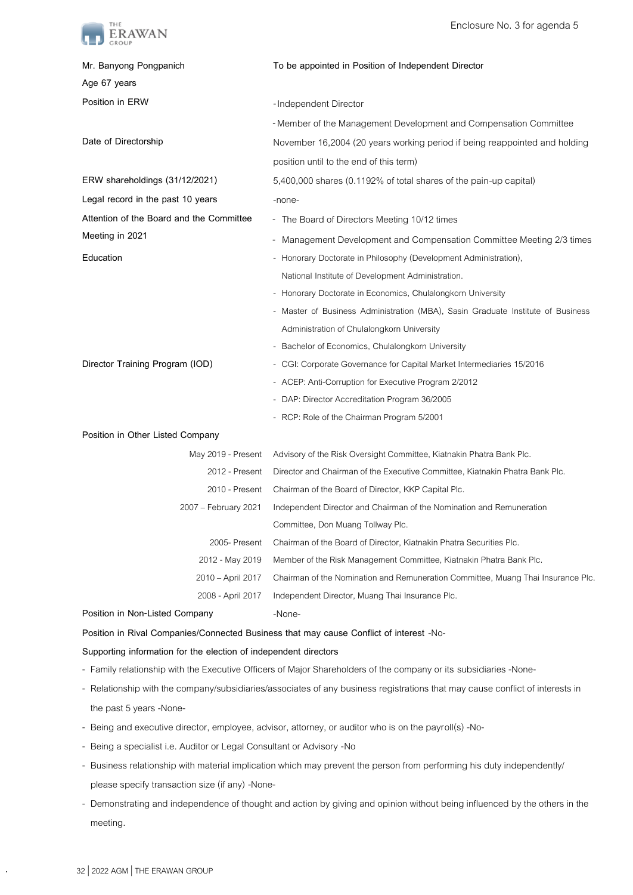

| Mr. Banyong Pongpanich                   | To be appointed in Position of Independent Director                              |
|------------------------------------------|----------------------------------------------------------------------------------|
| Age 67 years                             |                                                                                  |
| Position in ERW                          | -Independent Director                                                            |
|                                          | - Member of the Management Development and Compensation Committee                |
| Date of Directorship                     | November 16,2004 (20 years working period if being reappointed and holding       |
|                                          | position until to the end of this term)                                          |
| ERW shareholdings (31/12/2021)           | 5,400,000 shares (0.1192% of total shares of the pain-up capital)                |
| Legal record in the past 10 years        | -none-                                                                           |
| Attention of the Board and the Committee | - The Board of Directors Meeting 10/12 times                                     |
| Meeting in 2021                          | Management Development and Compensation Committee Meeting 2/3 times              |
| Education                                | Honorary Doctorate in Philosophy (Development Administration),                   |
|                                          | National Institute of Development Administration.                                |
|                                          | Honorary Doctorate in Economics, Chulalongkorn University                        |
|                                          | - Master of Business Administration (MBA), Sasin Graduate Institute of Business  |
|                                          | Administration of Chulalongkorn University                                       |
|                                          | Bachelor of Economics, Chulalongkorn University                                  |
| Director Training Program (IOD)          | - CGI: Corporate Governance for Capital Market Intermediaries 15/2016            |
|                                          | - ACEP: Anti-Corruption for Executive Program 2/2012                             |
|                                          | - DAP: Director Accreditation Program 36/2005                                    |
|                                          | - RCP: Role of the Chairman Program 5/2001                                       |
| Position in Other Listed Company         |                                                                                  |
| May 2019 - Present                       | Advisory of the Risk Oversight Committee, Kiatnakin Phatra Bank Plc.             |
| 2012 - Present                           | Director and Chairman of the Executive Committee, Kiatnakin Phatra Bank Plc.     |
| 2010 - Present                           | Chairman of the Board of Director, KKP Capital Plc.                              |
| 2007 - February 2021                     | Independent Director and Chairman of the Nomination and Remuneration             |
|                                          | Committee, Don Muang Tollway Plc.                                                |
| 2005- Present                            | Chairman of the Board of Director, Kiatnakin Phatra Securities Plc.              |
| 2012 - May 2019                          | Member of the Risk Management Committee, Kiatnakin Phatra Bank Plc.              |
| 2010 - April 2017                        | Chairman of the Nomination and Remuneration Committee, Muang Thai Insurance Plc. |
| 2008 - April 2017                        | Independent Director, Muang Thai Insurance Plc.                                  |
| Position in Non-Listed Company           | -None-                                                                           |

**Position in Rival Companies/Connected Business that may cause Conflict of interest** -No-

## **Supporting information for the election of independent directors**

- Family relationship with the Executive Officers of Major Shareholders of the company or its subsidiaries -None-
- Relationship with the company/subsidiaries/associates of any business registrations that may cause conflict of interests in the past 5 years -None-
- Being and executive director, employee, advisor, attorney, or auditor who is on the payroll(s) -No-
- Being a specialist i.e. Auditor or Legal Consultant or Advisory -No
- Business relationship with material implication which may prevent the person from performing his duty independently/ please specify transaction size (if any) -None-
- Demonstrating and independence of thought and action by giving and opinion without being influenced by the others in the meeting.